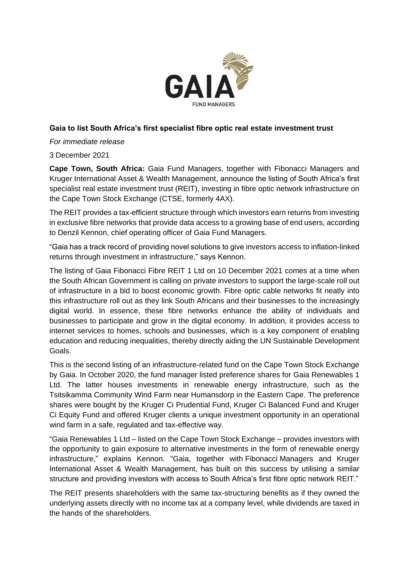

# **Gaia to list South Africa's first specialist fibre optic real estate investment trust**

*For immediate release*

## 3 December 2021

**Cape Town, South Africa:** Gaia Fund Managers, together with Fibonacci Managers and Kruger International Asset & Wealth Management, announce the listing of South Africa's first specialist real estate investment trust (REIT), investing in fibre optic network infrastructure on the Cape Town Stock Exchange (CTSE, formerly 4AX).

The REIT provides a tax-efficient structure through which investors earn returns from investing in exclusive fibre networks that provide data access to a growing base of end users, according to Denzil Kennon, chief operating officer of Gaia Fund Managers.

"Gaia has a track record of providing novel solutions to give investors access to inflation-linked returns through investment in infrastructure," says Kennon.

The listing of Gaia Fibonacci Fibre REIT 1 Ltd on 10 December 2021 comes at a time when the South African Government is calling on private investors to support the large-scale roll out of infrastructure in a bid to boost economic growth. Fibre optic cable networks fit neatly into this infrastructure roll out as they link South Africans and their businesses to the increasingly digital world. In essence, these fibre networks enhance the ability of individuals and businesses to participate and grow in the digital economy. In addition, it provides access to internet services to homes, schools and businesses, which is a key component of enabling education and reducing inequalities, thereby directly aiding the UN Sustainable Development Goals.

This is the second listing of an infrastructure-related fund on the Cape Town Stock Exchange by Gaia. In October 2020, the fund manager listed preference shares for Gaia Renewables 1 Ltd. The latter houses investments in renewable energy infrastructure, such as the Tsitsikamma Community Wind Farm near Humansdorp in the Eastern Cape. The preference shares were bought by the Kruger Ci Prudential Fund, Kruger Ci Balanced Fund and Kruger Ci Equity Fund and offered Kruger clients a unique investment opportunity in an operational wind farm in a safe, regulated and tax-effective way.

"Gaia Renewables 1 Ltd – listed on the Cape Town Stock Exchange – provides investors with the opportunity to gain exposure to alternative investments in the form of renewable energy infrastructure," explains Kennon. "Gaia, together with Fibonacci Managers and Kruger International Asset & Wealth Management, has built on this success by utilising a similar structure and providing investors with access to South Africa's first fibre optic network REIT."

The REIT presents shareholders with the same tax-structuring benefits as if they owned the underlying assets directly with no income tax at a company level, while dividends are taxed in the hands of the shareholders.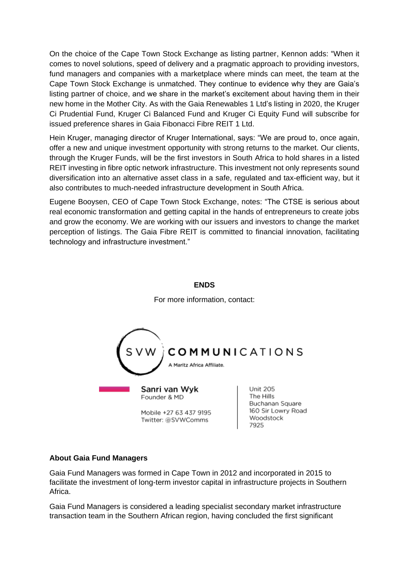On the choice of the Cape Town Stock Exchange as listing partner, Kennon adds: "When it comes to novel solutions, speed of delivery and a pragmatic approach to providing investors, fund managers and companies with a marketplace where minds can meet, the team at the Cape Town Stock Exchange is unmatched. They continue to evidence why they are Gaia's listing partner of choice, and we share in the market's excitement about having them in their new home in the Mother City. As with the Gaia Renewables 1 Ltd's listing in 2020, the Kruger Ci Prudential Fund, Kruger Ci Balanced Fund and Kruger Ci Equity Fund will subscribe for issued preference shares in Gaia Fibonacci Fibre REIT 1 Ltd.

Hein Kruger, managing director of Kruger International, says: "We are proud to, once again, offer a new and unique investment opportunity with strong returns to the market. Our clients, through the Kruger Funds, will be the first investors in South Africa to hold shares in a listed REIT investing in fibre optic network infrastructure. This investment not only represents sound diversification into an alternative asset class in a safe, regulated and tax-efficient way, but it also contributes to much-needed infrastructure development in South Africa.

Eugene Booysen, CEO of Cape Town Stock Exchange, notes: "The CTSE is serious about real economic transformation and getting capital in the hands of entrepreneurs to create jobs and grow the economy. We are working with our issuers and investors to change the market perception of listings. The Gaia Fibre REIT is committed to financial innovation, facilitating technology and infrastructure investment."

#### **ENDS**



For more information, contact:

## **About Gaia Fund Managers**

Gaia Fund Managers was formed in Cape Town in 2012 and incorporated in 2015 to facilitate the investment of long-term investor capital in infrastructure projects in Southern Africa.

Gaia Fund Managers is considered a leading specialist secondary market infrastructure transaction team in the Southern African region, having concluded the first significant